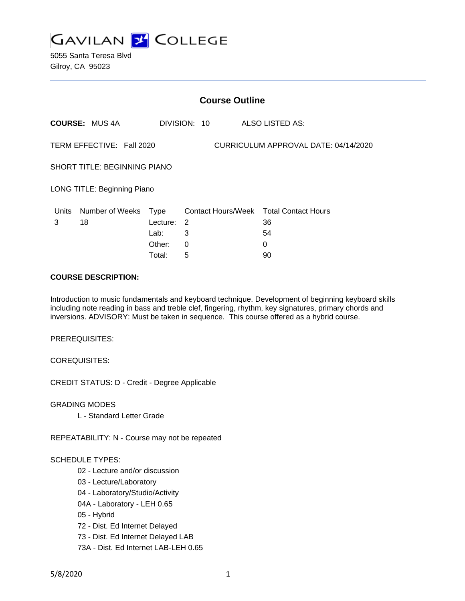

5055 Santa Teresa Blvd Gilroy, CA 95023

|                                                                   | <b>Course Outline</b> |            |              |                                        |  |  |
|-------------------------------------------------------------------|-----------------------|------------|--------------|----------------------------------------|--|--|
|                                                                   | <b>COURSE: MUS 4A</b> |            | DIVISION: 10 | ALSO LISTED AS:                        |  |  |
| CURRICULUM APPROVAL DATE: 04/14/2020<br>TERM EFFECTIVE: Fall 2020 |                       |            |              |                                        |  |  |
| <b>SHORT TITLE: BEGINNING PIANO</b>                               |                       |            |              |                                        |  |  |
| LONG TITLE: Beginning Piano                                       |                       |            |              |                                        |  |  |
| Units                                                             | Number of Weeks Type  |            |              | Contact Hours/Week Total Contact Hours |  |  |
| 3                                                                 | 18                    | Lecture: 2 |              | 36                                     |  |  |
|                                                                   |                       | Lab:       | 3            | 54                                     |  |  |
|                                                                   |                       | Other:     | 0            | 0                                      |  |  |
|                                                                   |                       | Total:     | 5            | 90                                     |  |  |

### **COURSE DESCRIPTION:**

Introduction to music fundamentals and keyboard technique. Development of beginning keyboard skills including note reading in bass and treble clef, fingering, rhythm, key signatures, primary chords and inversions. ADVISORY: Must be taken in sequence. This course offered as a hybrid course.

PREREQUISITES:

COREQUISITES:

CREDIT STATUS: D - Credit - Degree Applicable

GRADING MODES

L - Standard Letter Grade

REPEATABILITY: N - Course may not be repeated

#### SCHEDULE TYPES:

- 02 Lecture and/or discussion
- 03 Lecture/Laboratory
- 04 Laboratory/Studio/Activity
- 04A Laboratory LEH 0.65
- 05 Hybrid
- 72 Dist. Ed Internet Delayed
- 73 Dist. Ed Internet Delayed LAB
- 73A Dist. Ed Internet LAB-LEH 0.65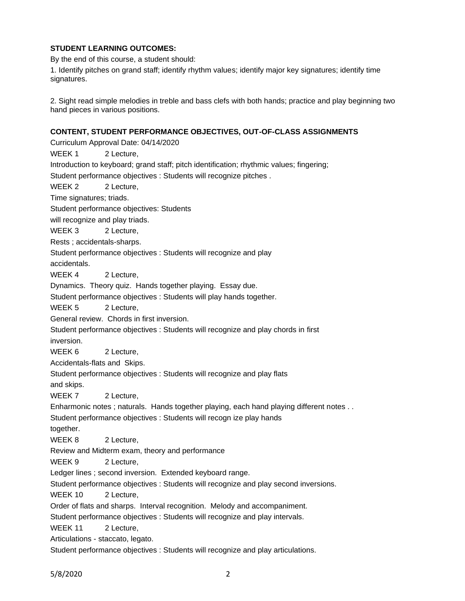# **STUDENT LEARNING OUTCOMES:**

By the end of this course, a student should:

1. Identify pitches on grand staff; identify rhythm values; identify major key signatures; identify time signatures.

2. Sight read simple melodies in treble and bass clefs with both hands; practice and play beginning two hand pieces in various positions.

### **CONTENT, STUDENT PERFORMANCE OBJECTIVES, OUT-OF-CLASS ASSIGNMENTS**

Curriculum Approval Date: 04/14/2020 WEEK 1 2 Lecture, Introduction to keyboard; grand staff; pitch identification; rhythmic values; fingering; Student performance objectives : Students will recognize pitches . WEEK 2 2 Lecture, Time signatures; triads. Student performance objectives: Students will recognize and play triads. WEEK 3 2 Lecture, Rests ; accidentals-sharps. Student performance objectives : Students will recognize and play accidentals. WEEK 4 2 Lecture, Dynamics. Theory quiz. Hands together playing. Essay due. Student performance objectives : Students will play hands together. WEEK 5 2 Lecture, General review. Chords in first inversion. Student performance objectives : Students will recognize and play chords in first inversion. WEEK 6 2 Lecture, Accidentals-flats and Skips. Student performance objectives : Students will recognize and play flats and skips. WEEK 7 2 Lecture, Enharmonic notes ; naturals. Hands together playing, each hand playing different notes . . Student performance objectives : Students will recogn ize play hands together. WEEK 8 2 Lecture, Review and Midterm exam, theory and performance WEEK 9 2 Lecture, Ledger lines ; second inversion. Extended keyboard range. Student performance objectives : Students will recognize and play second inversions. WEEK 10 2 Lecture, Order of flats and sharps. Interval recognition. Melody and accompaniment. Student performance objectives : Students will recognize and play intervals. WEEK 11 2 Lecture, Articulations - staccato, legato. Student performance objectives : Students will recognize and play articulations.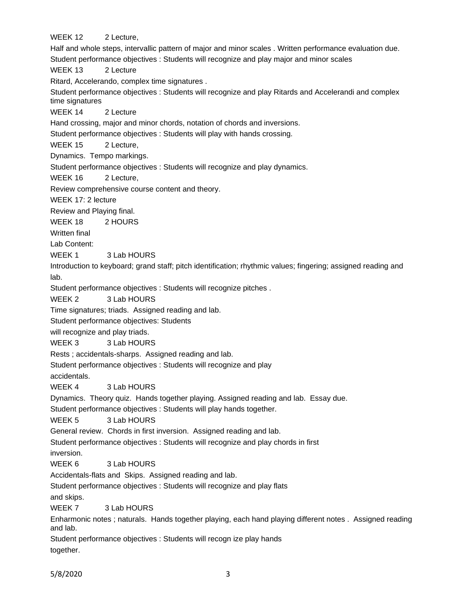WEEK 12 2 Lecture, Half and whole steps, intervallic pattern of major and minor scales . Written performance evaluation due. Student performance objectives : Students will recognize and play major and minor scales WEEK 13 2 Lecture Ritard, Accelerando, complex time signatures . Student performance objectives : Students will recognize and play Ritards and Accelerandi and complex time signatures WEEK 14 2 Lecture Hand crossing, major and minor chords, notation of chords and inversions. Student performance objectives : Students will play with hands crossing. WEEK 15 2 Lecture, Dynamics. Tempo markings. Student performance objectives : Students will recognize and play dynamics. WEEK 16 2 Lecture. Review comprehensive course content and theory. WEEK 17: 2 lecture Review and Playing final. WEEK 18 2 HOURS Written final Lab Content: WEEK 1 3 Lab HOURS Introduction to keyboard; grand staff; pitch identification; rhythmic values; fingering; assigned reading and lab. Student performance objectives : Students will recognize pitches . WEEK 2 3 Lab HOURS Time signatures; triads. Assigned reading and lab. Student performance objectives: Students will recognize and play triads. WEEK 3 3 Lab HOURS Rests ; accidentals-sharps. Assigned reading and lab. Student performance objectives : Students will recognize and play accidentals. WEEK 4 3 Lab HOURS Dynamics. Theory quiz. Hands together playing. Assigned reading and lab. Essay due. Student performance objectives : Students will play hands together. WEEK 5 3 Lab HOURS General review. Chords in first inversion. Assigned reading and lab. Student performance objectives : Students will recognize and play chords in first inversion. WEEK 6 3 Lab HOURS Accidentals-flats and Skips. Assigned reading and lab. Student performance objectives : Students will recognize and play flats and skips. WEEK 7 3 Lab HOURS Enharmonic notes ; naturals. Hands together playing, each hand playing different notes . Assigned reading and lab.

Student performance objectives : Students will recogn ize play hands together.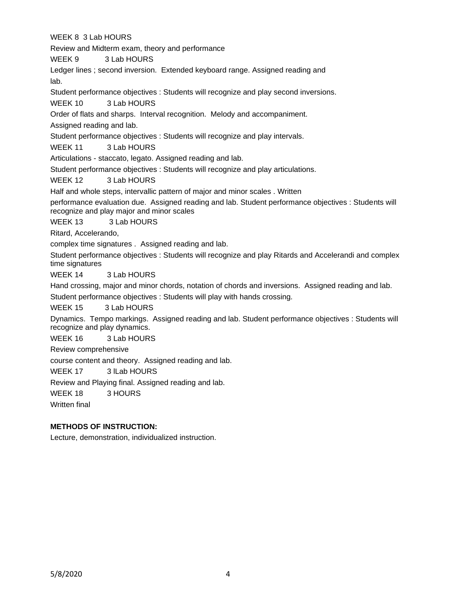WEEK 8 3 Lab HOURS

Review and Midterm exam, theory and performance

WEEK 9 3 Lab HOURS

Ledger lines ; second inversion. Extended keyboard range. Assigned reading and

lab.

Student performance objectives : Students will recognize and play second inversions.

WEEK 10 3 Lab HOURS

Order of flats and sharps. Interval recognition. Melody and accompaniment.

Assigned reading and lab.

Student performance objectives : Students will recognize and play intervals.

WEEK 11 3 Lab HOURS

Articulations - staccato, legato. Assigned reading and lab.

Student performance objectives : Students will recognize and play articulations.

WEEK 12 3 Lab HOURS

Half and whole steps, intervallic pattern of major and minor scales . Written

performance evaluation due. Assigned reading and lab. Student performance objectives : Students will recognize and play major and minor scales

WEEK 13 3 Lab HOURS

Ritard, Accelerando,

complex time signatures . Assigned reading and lab.

Student performance objectives : Students will recognize and play Ritards and Accelerandi and complex time signatures

WEEK 14 3 Lab HOURS

Hand crossing, major and minor chords, notation of chords and inversions. Assigned reading and lab. Student performance objectives : Students will play with hands crossing.

WEEK 15 3 Lab HOURS

Dynamics. Tempo markings. Assigned reading and lab. Student performance objectives : Students will recognize and play dynamics.

WEEK 16 3 Lab HOURS

Review comprehensive

course content and theory. Assigned reading and lab.

WEEK 17 3 ILab HOURS

Review and Playing final. Assigned reading and lab.

WEEK 18 3 HOURS

Written final

# **METHODS OF INSTRUCTION:**

Lecture, demonstration, individualized instruction.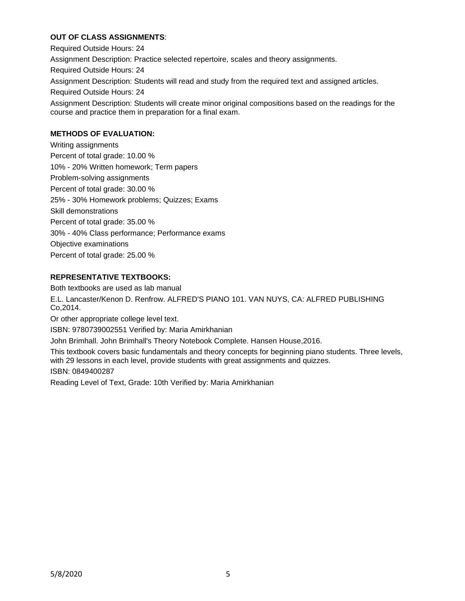# **OUT OF CLASS ASSIGNMENTS**:

Required Outside Hours: 24 Assignment Description: Practice selected repertoire, scales and theory assignments. Required Outside Hours: 24 Assignment Description: Students will read and study from the required text and assigned articles. Required Outside Hours: 24 Assignment Description: Students will create minor original compositions based on the readings for the course and practice them in preparation for a final exam.

# **METHODS OF EVALUATION:**

Writing assignments Percent of total grade: 10.00 % 10% - 20% Written homework; Term papers Problem-solving assignments Percent of total grade: 30.00 % 25% - 30% Homework problems; Quizzes; Exams Skill demonstrations Percent of total grade: 35.00 % 30% - 40% Class performance; Performance exams Objective examinations Percent of total grade: 25.00 %

### **REPRESENTATIVE TEXTBOOKS:**

Both textbooks are used as lab manual

E.L. Lancaster/Kenon D. Renfrow. ALFRED'S PIANO 101. VAN NUYS, CA: ALFRED PUBLISHING Co,2014.

Or other appropriate college level text.

ISBN: 9780739002551 Verified by: Maria Amirkhanian

John Brimhall. John Brimhall's Theory Notebook Complete. Hansen House,2016.

This textbook covers basic fundamentals and theory concepts for beginning piano students. Three levels, with 29 lessons in each level, provide students with great assignments and quizzes.

#### ISBN: 0849400287

Reading Level of Text, Grade: 10th Verified by: Maria Amirkhanian